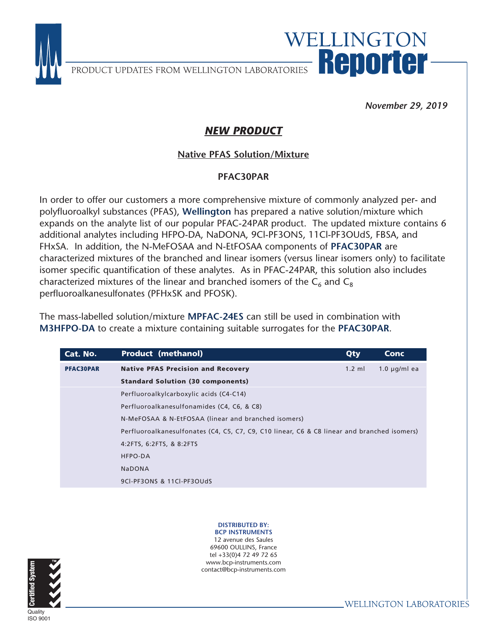

PRODUCT UPDATES FROM WELLINGTON LABORATORIES Reported

### *November 29, 2019*

WELLINGTON

## *NEW PRODUCT*

# **Native PFAS Solution/Mixture**

#### PFAC30PAR

In order to offer our customers a more comprehensive mixture of commonly analyzed per- and polyfluoroalkyl substances (PFAS), **Wellington** has prepared a native solution/mixture which expands on the analyte list of our popular PFAC-24PAR product. The updated mixture contains 6 additional analytes including HFPO-DA, NaDONA, 9Cl-PF3ONS, 11Cl-PF3OUdS, FBSA, and FHxSA. In addition, the N-MeFOSAA and N-EtFOSAA components of **PFAC30PAR** are characterized mixtures of the branched and linear isomers (versus linear isomers only) to facilitate isomer specific quantification of these analytes. As in PFAC-24PAR, this solution also includes characterized mixtures of the linear and branched isomers of the  $C_6$  and  $C_8$ perfluoroalkanesulfonates (PFHxSK and PFOSK).

The mass-labelled solution/mixture **MPFAC-24ES** can still be used in combination with **M3HFPO-DA** to create a mixture containing suitable surrogates for the **PFAC30PAR**.

| <b>Product (methanol)</b>                           | Qty              | Conc                                                                                        |
|-----------------------------------------------------|------------------|---------------------------------------------------------------------------------------------|
| <b>Native PFAS Precision and Recovery</b>           | $1.2 \text{ ml}$ | $1.0 \mu q/ml$ ea                                                                           |
| <b>Standard Solution (30 components)</b>            |                  |                                                                                             |
| Perfluoroalkylcarboxylic acids (C4-C14)             |                  |                                                                                             |
| Perfluoroalkanesulfonamides (C4, C6, & C8)          |                  |                                                                                             |
| N-MeFOSAA & N-EtFOSAA (linear and branched isomers) |                  |                                                                                             |
|                                                     |                  |                                                                                             |
| 4:2FTS, 6:2FTS, & 8:2FTS                            |                  |                                                                                             |
| <b>HFPO-DA</b>                                      |                  |                                                                                             |
| <b>NaDONA</b>                                       |                  |                                                                                             |
| 9CI-PF3ONS & 11CI-PF3OUdS                           |                  |                                                                                             |
|                                                     |                  | Perfluoroalkanesulfonates (C4, C5, C7, C9, C10 linear, C6 & C8 linear and branched isomers) |

**DISTRIBUTED BY:**<br>**BCP INSTRUMENTS** 

12 avenue des Saules 69600 OULLINS, France tel +33(0)4 72 49 72 65 www.bcp-instruments.com contact@bcp-instruments.com